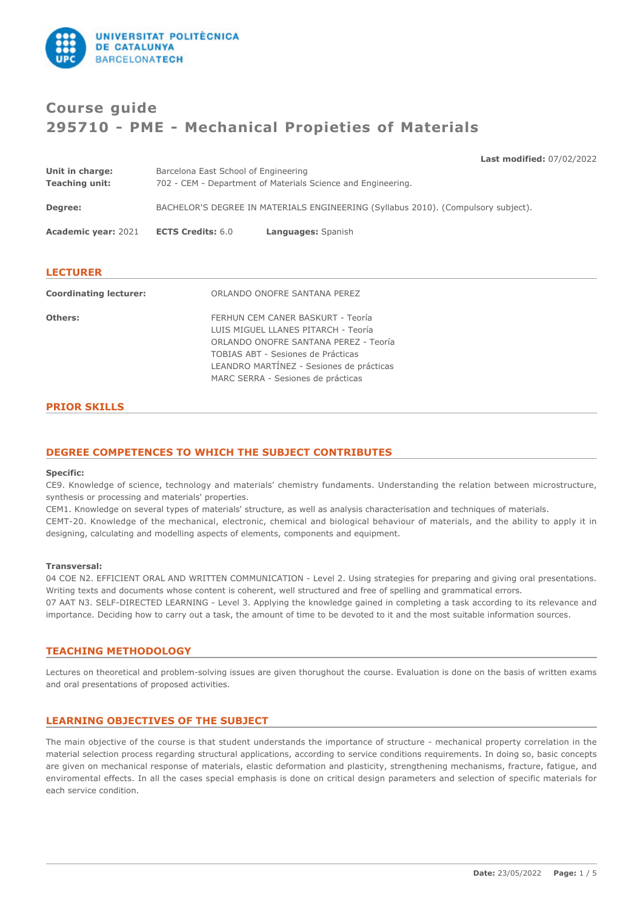

# **Course guide 295710 - PME - Mechanical Propieties of Materials**

| Unit in charge:               | Barcelona East School of Engineering                                              | <b>Last Induffied.</b> $07/02/2022$ |  |
|-------------------------------|-----------------------------------------------------------------------------------|-------------------------------------|--|
| <b>Teaching unit:</b>         | 702 - CEM - Department of Materials Science and Engineering.                      |                                     |  |
| Degree:                       | BACHELOR'S DEGREE IN MATERIALS ENGINEERING (Syllabus 2010). (Compulsory subject). |                                     |  |
| <b>Academic year: 2021</b>    | <b>ECTS Credits: 6.0</b><br>Languages: Spanish                                    |                                     |  |
|                               |                                                                                   |                                     |  |
| <b>LECTURER</b>               |                                                                                   |                                     |  |
| <b>Coordinating lecturer:</b> | ORLANDO ONOFRE SANTANA PEREZ                                                      |                                     |  |
| Others:                       | FERHUN CEM CANER BASKURT - Teoría                                                 |                                     |  |
|                               | LUIS MIGUEL LLANES PITARCH - Teoría                                               |                                     |  |
|                               | ORLANDO ONOFRE SANTANA PEREZ - Teoría                                             |                                     |  |

TOBIAS ABT - Sesiones de Prácticas LEANDRO MARTÍNEZ - Sesiones de prácticas MARC SERRA - Sesiones de prácticas

# **PRIOR SKILLS**

# **DEGREE COMPETENCES TO WHICH THE SUBJECT CONTRIBUTES**

#### **Specific:**

CE9. Knowledge of science, technology and materials' chemistry fundaments. Understanding the relation between microstructure, synthesis or processing and materials' properties.

CEM1. Knowledge on several types of materials' structure, as well as analysis characterisation and techniques of materials. CEMT-20. Knowledge of the mechanical, electronic, chemical and biological behaviour of materials, and the ability to apply it in designing, calculating and modelling aspects of elements, components and equipment.

#### **Transversal:**

04 COE N2. EFFICIENT ORAL AND WRITTEN COMMUNICATION - Level 2. Using strategies for preparing and giving oral presentations. Writing texts and documents whose content is coherent, well structured and free of spelling and grammatical errors. 07 AAT N3. SELF-DIRECTED LEARNING - Level 3. Applying the knowledge gained in completing a task according to its relevance and importance. Deciding how to carry out a task, the amount of time to be devoted to it and the most suitable information sources.

# **TEACHING METHODOLOGY**

Lectures on theoretical and problem-solving issues are given thorughout the course. Evaluation is done on the basis of written exams and oral presentations of proposed activities.

# **LEARNING OBJECTIVES OF THE SUBJECT**

The main objective of the course is that student understands the importance of structure - mechanical property correlation in the material selection process regarding structural applications, according to service conditions requirements. In doing so, basic concepts are given on mechanical response of materials, elastic deformation and plasticity, strengthening mechanisms, fracture, fatigue, and enviromental effects. In all the cases special emphasis is done on critical design parameters and selection of specific materials for each service condition.

**Last modified:** 07/02/2022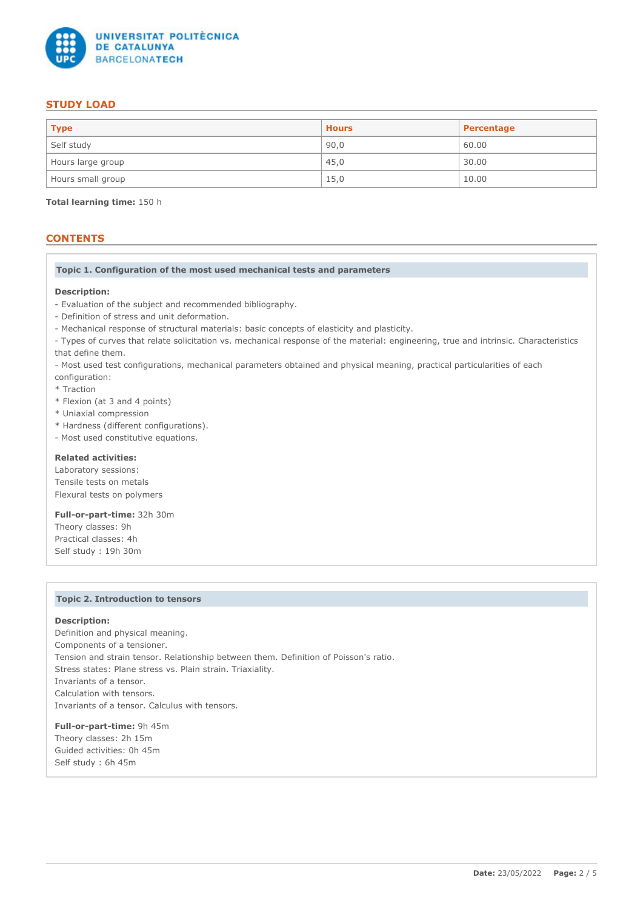

# **STUDY LOAD**

| <b>Type</b>       | <b>Hours</b> | Percentage |
|-------------------|--------------|------------|
| Self study        | 90,0         | 60.00      |
| Hours large group | 45,0         | 30.00      |
| Hours small group | 15,0         | 10.00      |

**Total learning time:** 150 h

# **CONTENTS**

### **Topic 1. Configuration of the most used mechanical tests and parameters**

### **Description:**

- Evaluation of the subject and recommended bibliography.
- Definition of stress and unit deformation.
- Mechanical response of structural materials: basic concepts of elasticity and plasticity.

- Types of curves that relate solicitation vs. mechanical response of the material: engineering, true and intrinsic. Characteristics that define them.

- Most used test configurations, mechanical parameters obtained and physical meaning, practical particularities of each
- configuration:
- \* Traction
- \* Flexion (at 3 and 4 points)
- \* Uniaxial compression
- \* Hardness (different configurations).
- Most used constitutive equations.

# **Related activities:**

Laboratory sessions: Tensile tests on metals Flexural tests on polymers

**Full-or-part-time:** 32h 30m Theory classes: 9h Practical classes: 4h Self study : 19h 30m

# **Topic 2. Introduction to tensors**

### **Description:**

Definition and physical meaning. Components of a tensioner. Tension and strain tensor. Relationship between them. Definition of Poisson's ratio. Stress states: Plane stress vs. Plain strain. Triaxiality. Invariants of a tensor. Calculation with tensors. Invariants of a tensor. Calculus with tensors.

**Full-or-part-time:** 9h 45m Theory classes: 2h 15m Guided activities: 0h 45m Self study : 6h 45m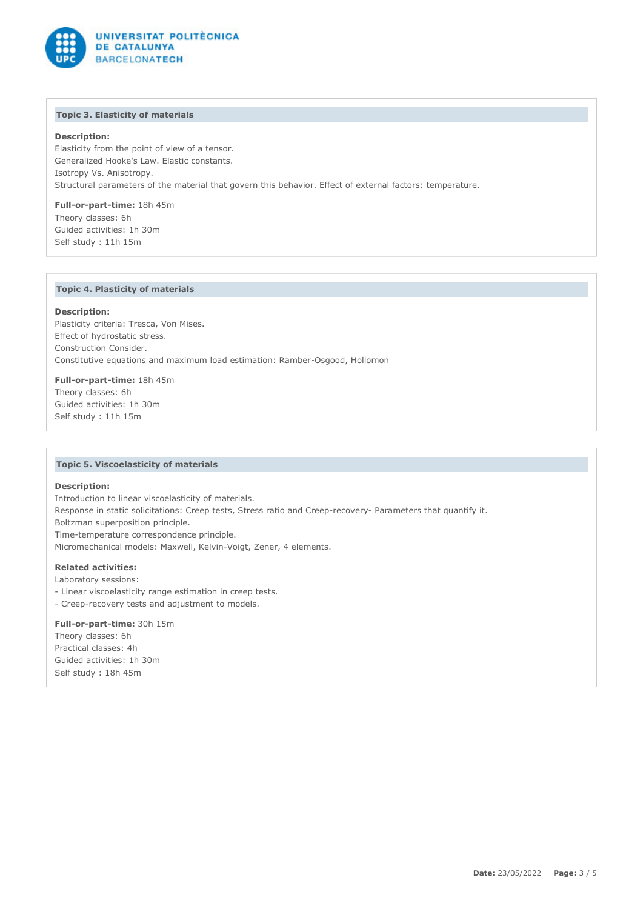

# **Topic 3. Elasticity of materials**

## **Description:**

Elasticity from the point of view of a tensor. Generalized Hooke's Law. Elastic constants. Isotropy Vs. Anisotropy. Structural parameters of the material that govern this behavior. Effect of external factors: temperature.

**Full-or-part-time:** 18h 45m Theory classes: 6h Guided activities: 1h 30m Self study : 11h 15m

# **Topic 4. Plasticity of materials**

### **Description:**

Plasticity criteria: Tresca, Von Mises. Effect of hydrostatic stress. Construction Consider. Constitutive equations and maximum load estimation: Ramber-Osgood, Hollomon

**Full-or-part-time:** 18h 45m Theory classes: 6h Guided activities: 1h 30m Self study : 11h 15m

#### **Topic 5. Viscoelasticity of materials**

#### **Description:**

Introduction to linear viscoelasticity of materials. Response in static solicitations: Creep tests, Stress ratio and Creep-recovery- Parameters that quantify it. Boltzman superposition principle. Time-temperature correspondence principle. Micromechanical models: Maxwell, Kelvin-Voigt, Zener, 4 elements.

## **Related activities:**

- Laboratory sessions:
- Linear viscoelasticity range estimation in creep tests.
- Creep-recovery tests and adjustment to models.

# **Full-or-part-time:** 30h 15m

Theory classes: 6h Practical classes: 4h Guided activities: 1h 30m Self study : 18h 45m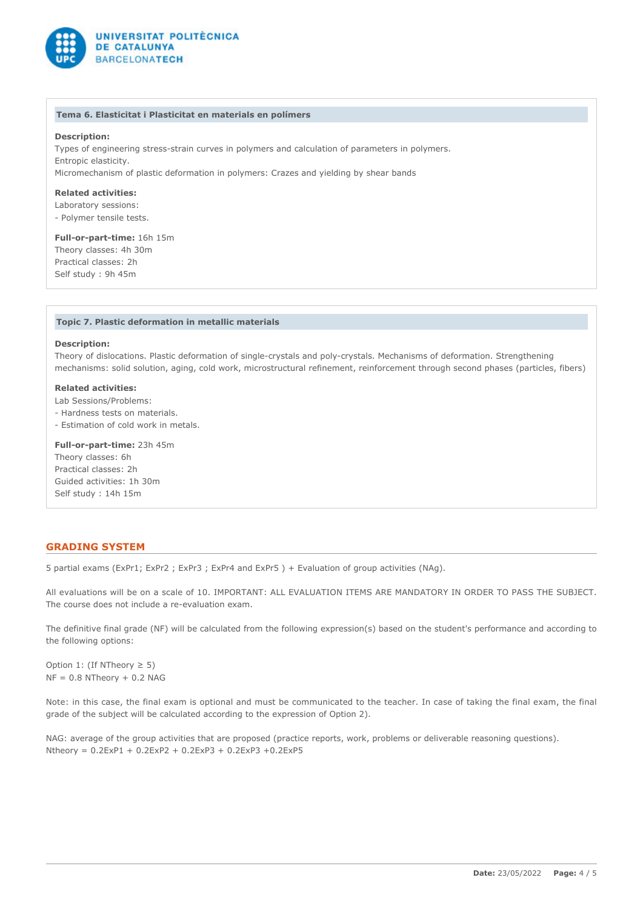

#### **Tema 6. Elasticitat i Plasticitat en materials en polímers**

## **Description:**

Types of engineering stress-strain curves in polymers and calculation of parameters in polymers. Entropic elasticity. Micromechanism of plastic deformation in polymers: Crazes and yielding by shear bands

**Related activities:**

Laboratory sessions:

- Polymer tensile tests.

**Full-or-part-time:** 16h 15m Theory classes: 4h 30m

Practical classes: 2h Self study : 9h 45m

### **Topic 7. Plastic deformation in metallic materials**

#### **Description:**

Theory of dislocations. Plastic deformation of single-crystals and poly-crystals. Mechanisms of deformation. Strengthening mechanisms: solid solution, aging, cold work, microstructural refinement, reinforcement through second phases (particles, fibers)

# **Related activities:**

Lab Sessions/Problems:

- Hardness tests on materials.

- Estimation of cold work in metals.

**Full-or-part-time:** 23h 45m

Theory classes: 6h Practical classes: 2h Guided activities: 1h 30m Self study : 14h 15m

# **GRADING SYSTEM**

5 partial exams (ExPr1; ExPr2 ; ExPr3 ; ExPr4 and ExPr5 ) + Evaluation of group activities (NAg).

All evaluations will be on a scale of 10. IMPORTANT: ALL EVALUATION ITEMS ARE MANDATORY IN ORDER TO PASS THE SUBJECT. The course does not include a re-evaluation exam.

The definitive final grade (NF) will be calculated from the following expression(s) based on the student's performance and according to the following options:

Option 1: (If NTheory  $\geq 5$ )  $NF = 0.8$  NTheory + 0.2 NAG

Note: in this case, the final exam is optional and must be communicated to the teacher. In case of taking the final exam, the final grade of the subject will be calculated according to the expression of Option 2).

NAG: average of the group activities that are proposed (practice reports, work, problems or deliverable reasoning questions). Ntheory = 0.2ExP1 + 0.2ExP2 + 0.2ExP3 + 0.2ExP3 +0.2ExP5